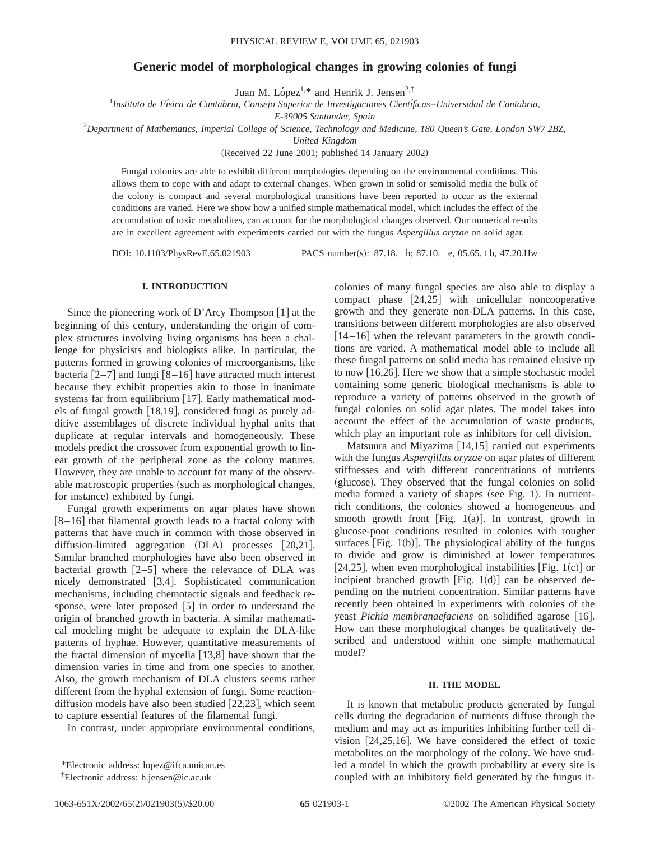# **Generic model of morphological changes in growing colonies of fungi**

Juan M. López<sup>1,\*</sup> and Henrik J. Jensen<sup>2,†</sup>

1 *Instituto de Fı´sica de Cantabria, Consejo Superior de Investigaciones Cientı´ficas*–*Universidad de Cantabria,*

*E-39005 Santander, Spain*

2 *Department of Mathematics, Imperial College of Science, Technology and Medicine, 180 Queen's Gate, London SW7 2BZ,*

*United Kingdom*

(Received 22 June 2001; published 14 January 2002)

Fungal colonies are able to exhibit different morphologies depending on the environmental conditions. This allows them to cope with and adapt to external changes. When grown in solid or semisolid media the bulk of the colony is compact and several morphological transitions have been reported to occur as the external conditions are varied. Here we show how a unified simple mathematical model, which includes the effect of the accumulation of toxic metabolites, can account for the morphological changes observed. Our numerical results are in excellent agreement with experiments carried out with the fungus *Aspergillus oryzae* on solid agar.

DOI: 10.1103/PhysRevE.65.021903 PACS number(s): 87.18. - h; 87.10. + e, 05.65. + b, 47.20. Hw

## **I. INTRODUCTION**

Since the pioneering work of D'Arcy Thompson  $[1]$  at the beginning of this century, understanding the origin of complex structures involving living organisms has been a challenge for physicists and biologists alike. In particular, the patterns formed in growing colonies of microorganisms, like bacteria  $\lceil 2-7 \rceil$  and fungi  $\lceil 8-16 \rceil$  have attracted much interest because they exhibit properties akin to those in inanimate systems far from equilibrium  $[17]$ . Early mathematical models of fungal growth  $[18,19]$ , considered fungi as purely additive assemblages of discrete individual hyphal units that duplicate at regular intervals and homogeneously. These models predict the crossover from exponential growth to linear growth of the peripheral zone as the colony matures. However, they are unable to account for many of the observable macroscopic properties (such as morphological changes, for instance) exhibited by fungi.

Fungal growth experiments on agar plates have shown  $[8-16]$  that filamental growth leads to a fractal colony with patterns that have much in common with those observed in diffusion-limited aggregation (DLA) processes [20,21]. Similar branched morphologies have also been observed in bacterial growth  $[2-5]$  where the relevance of DLA was nicely demonstrated [3,4]. Sophisticated communication mechanisms, including chemotactic signals and feedback response, were later proposed  $[5]$  in order to understand the origin of branched growth in bacteria. A similar mathematical modeling might be adequate to explain the DLA-like patterns of hyphae. However, quantitative measurements of the fractal dimension of mycelia  $[13,8]$  have shown that the dimension varies in time and from one species to another. Also, the growth mechanism of DLA clusters seems rather different from the hyphal extension of fungi. Some reactiondiffusion models have also been studied  $[22,23]$ , which seem to capture essential features of the filamental fungi.

In contrast, under appropriate environmental conditions,

colonies of many fungal species are also able to display a compact phase  $[24,25]$  with unicellular noncooperative growth and they generate non-DLA patterns. In this case, transitions between different morphologies are also observed  $[14–16]$  when the relevant parameters in the growth conditions are varied. A mathematical model able to include all these fungal patterns on solid media has remained elusive up to now  $[16,26]$ . Here we show that a simple stochastic model containing some generic biological mechanisms is able to reproduce a variety of patterns observed in the growth of fungal colonies on solid agar plates. The model takes into account the effect of the accumulation of waste products, which play an important role as inhibitors for cell division.

Matsuura and Miyazima  $[14,15]$  carried out experiments with the fungus *Aspergillus oryzae* on agar plates of different stiffnesses and with different concentrations of nutrients (glucose). They observed that the fungal colonies on solid media formed a variety of shapes (see Fig. 1). In nutrientrich conditions, the colonies showed a homogeneous and smooth growth front [Fig. 1(a)]. In contrast, growth in glucose-poor conditions resulted in colonies with rougher surfaces [Fig.  $1(b)$ ]. The physiological ability of the fungus to divide and grow is diminished at lower temperatures [24,25], when even morphological instabilities [Fig. 1(c)] or incipient branched growth  $[Fig. 1(d)]$  can be observed depending on the nutrient concentration. Similar patterns have recently been obtained in experiments with colonies of the yeast *Pichia membranaefaciens* on solidified agarose [16]. How can these morphological changes be qualitatively described and understood within one simple mathematical model?

## **II. THE MODEL**

It is known that metabolic products generated by fungal cells during the degradation of nutrients diffuse through the medium and may act as impurities inhibiting further cell division  $[24,25,16]$ . We have considered the effect of toxic metabolites on the morphology of the colony. We have studied a model in which the growth probability at every site is coupled with an inhibitory field generated by the fungus it-

<sup>\*</sup>Electronic address: lopez@ifca.unican.es

<sup>†</sup> Electronic address: h.jensen@ic.ac.uk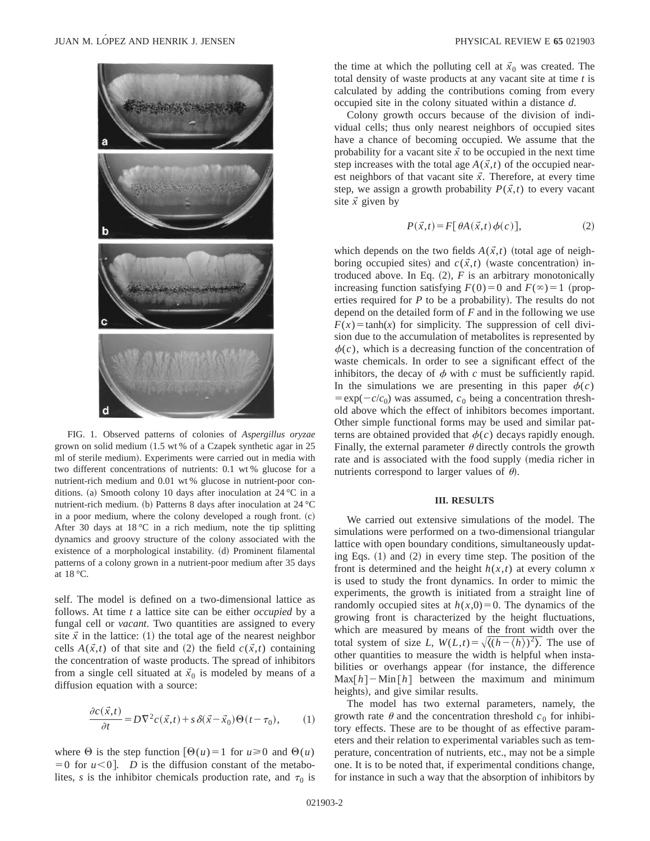

FIG. 1. Observed patterns of colonies of *Aspergillus oryzae* grown on solid medium  $(1.5 \text{ wt } \%)$  of a Czapek synthetic agar in 25 ml of sterile medium). Experiments were carried out in media with two different concentrations of nutrients: 0.1 wt % glucose for a nutrient-rich medium and 0.01 wt % glucose in nutrient-poor conditions. (a) Smooth colony 10 days after inoculation at 24  $^{\circ}$ C in a nutrient-rich medium. (b) Patterns 8 days after inoculation at  $24 \text{ °C}$ in a poor medium, where the colony developed a rough front.  $(c)$ After 30 days at  $18\text{ °C}$  in a rich medium, note the tip splitting dynamics and groovy structure of the colony associated with the existence of a morphological instability. (d) Prominent filamental patterns of a colony grown in a nutrient-poor medium after 35 days at 18 °C.

self. The model is defined on a two-dimensional lattice as follows. At time *t* a lattice site can be either *occupied* by a fungal cell or *vacant*. Two quantities are assigned to every site  $\vec{x}$  in the lattice: (1) the total age of the nearest neighbor cells  $A(\vec{x},t)$  of that site and (2) the field  $c(\vec{x},t)$  containing the concentration of waste products. The spread of inhibitors from a single cell situated at  $\vec{x}_0$  is modeled by means of a diffusion equation with a source:

$$
\frac{\partial c(\vec{x},t)}{\partial t} = D\nabla^2 c(\vec{x},t) + s\,\delta(\vec{x}-\vec{x}_0)\Theta(t-\tau_0),\tag{1}
$$

where  $\Theta$  is the step function  $[\Theta(u)=1$  for  $u\geq0$  and  $\Theta(u)$  $=0$  for  $u < 0$ ]. *D* is the diffusion constant of the metabolites, *s* is the inhibitor chemicals production rate, and  $\tau_0$  is the time at which the polluting cell at  $\vec{x}_0$  was created. The total density of waste products at any vacant site at time *t* is calculated by adding the contributions coming from every occupied site in the colony situated within a distance *d*.

Colony growth occurs because of the division of individual cells; thus only nearest neighbors of occupied sites have a chance of becoming occupied. We assume that the probability for a vacant site  $\vec{x}$  to be occupied in the next time step increases with the total age  $A(\vec{x},t)$  of the occupied nearest neighbors of that vacant site  $\vec{x}$ . Therefore, at every time step, we assign a growth probability  $P(\vec{x},t)$  to every vacant site  $\vec{x}$  given by

$$
P(\vec{x},t) = F[\theta A(\vec{x},t)\phi(c)],\tag{2}
$$

which depends on the two fields  $A(\vec{x},t)$  (total age of neighboring occupied sites) and  $c(\vec{x},t)$  (waste concentration) introduced above. In Eq.  $(2)$ , *F* is an arbitrary monotonically increasing function satisfying  $F(0)=0$  and  $F(\infty)=1$  (properties required for  $P$  to be a probability). The results do not depend on the detailed form of *F* and in the following we use  $F(x) = \tanh(x)$  for simplicity. The suppression of cell division due to the accumulation of metabolites is represented by  $\phi(c)$ , which is a decreasing function of the concentration of waste chemicals. In order to see a significant effect of the inhibitors, the decay of  $\phi$  with  $c$  must be sufficiently rapid. In the simulations we are presenting in this paper  $\phi(c)$  $= \exp(-c/c_0)$  was assumed,  $c_0$  being a concentration threshold above which the effect of inhibitors becomes important. Other simple functional forms may be used and similar patterns are obtained provided that  $\phi(c)$  decays rapidly enough. Finally, the external parameter  $\theta$  directly controls the growth rate and is associated with the food supply (media richer in nutrients correspond to larger values of  $\theta$ .

#### **III. RESULTS**

We carried out extensive simulations of the model. The simulations were performed on a two-dimensional triangular lattice with open boundary conditions, simultaneously updating Eqs.  $(1)$  and  $(2)$  in every time step. The position of the front is determined and the height  $h(x,t)$  at every column x is used to study the front dynamics. In order to mimic the experiments, the growth is initiated from a straight line of randomly occupied sites at  $h(x,0)=0$ . The dynamics of the growing front is characterized by the height fluctuations, which are measured by means of the front width over the total system of size *L*,  $W(L,t) = \sqrt{\langle (h - \langle h \rangle)^2 \rangle}$ . The use of other quantities to measure the width is helpful when instabilities or overhangs appear (for instance, the difference  $\text{Max}[h] - \text{Min}[h]$  between the maximum and minimum heights), and give similar results.

The model has two external parameters, namely, the growth rate  $\theta$  and the concentration threshold  $c_0$  for inhibitory effects. These are to be thought of as effective parameters and their relation to experimental variables such as temperature, concentration of nutrients, etc., may not be a simple one. It is to be noted that, if experimental conditions change, for instance in such a way that the absorption of inhibitors by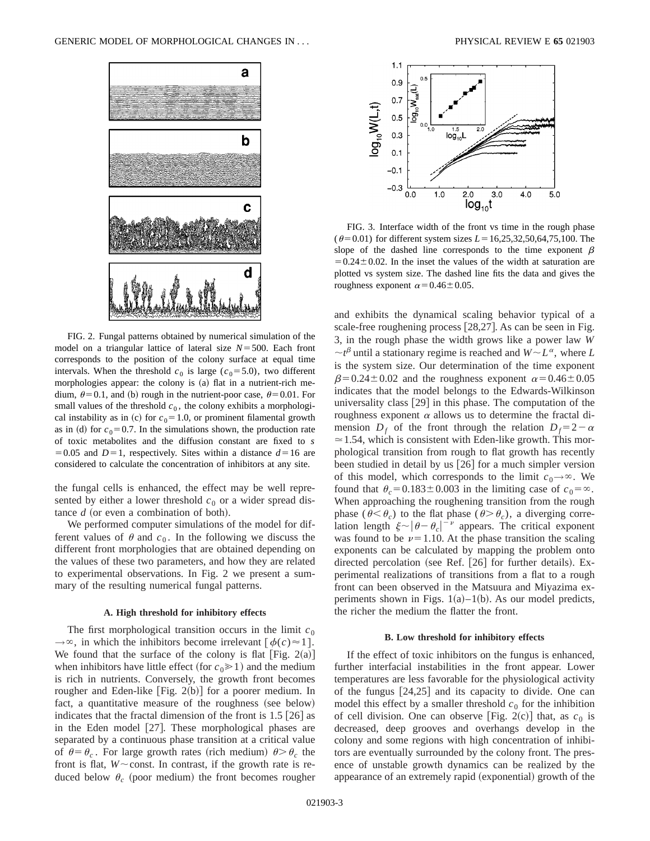

FIG. 2. Fungal patterns obtained by numerical simulation of the model on a triangular lattice of lateral size  $N = 500$ . Each front corresponds to the position of the colony surface at equal time intervals. When the threshold  $c_0$  is large ( $c_0$ =5.0), two different morphologies appear: the colony is (a) flat in a nutrient-rich medium,  $\theta$ =0.1, and (b) rough in the nutrient-poor case,  $\theta$ =0.01. For small values of the threshold  $c<sub>0</sub>$ , the colony exhibits a morphological instability as in (c) for  $c_0$ =1.0, or prominent filamental growth as in (d) for  $c_0$ =0.7. In the simulations shown, the production rate of toxic metabolites and the diffusion constant are fixed to *s*  $=0.05$  and  $D=1$ , respectively. Sites within a distance  $d=16$  are considered to calculate the concentration of inhibitors at any site.

the fungal cells is enhanced, the effect may be well represented by either a lower threshold  $c_0$  or a wider spread distance  $d$  (or even a combination of both).

We performed computer simulations of the model for different values of  $\theta$  and  $c_0$ . In the following we discuss the different front morphologies that are obtained depending on the values of these two parameters, and how they are related to experimental observations. In Fig. 2 we present a summary of the resulting numerical fungal patterns.

### **A. High threshold for inhibitory effects**

The first morphological transition occurs in the limit  $c_0$  $\rightarrow \infty$ , in which the inhibitors become irrelevant  $\left[\phi(c) \approx 1\right]$ . We found that the surface of the colony is flat  $[Fig. 2(a)]$ when inhibitors have little effect (for  $c_0 \ge 1$ ) and the medium is rich in nutrients. Conversely, the growth front becomes rougher and Eden-like  $[Fig. 2(b)]$  for a poorer medium. In fact, a quantitative measure of the roughness (see below) indicates that the fractal dimension of the front is  $1.5 \, [26]$  as in the Eden model  $[27]$ . These morphological phases are separated by a continuous phase transition at a critical value of  $\theta = \theta_c$ . For large growth rates (rich medium)  $\theta > \theta_c$  the front is flat,  $W \sim$  const. In contrast, if the growth rate is reduced below  $\theta_c$  (poor medium) the front becomes rougher



FIG. 3. Interface width of the front vs time in the rough phase ( $\theta$ =0.01) for different system sizes *L* = 16,25,32,50,64,75,100. The slope of the dashed line corresponds to the time exponent  $\beta$  $=0.24\pm0.02$ . In the inset the values of the width at saturation are plotted vs system size. The dashed line fits the data and gives the roughness exponent  $\alpha$  = 0.46 ± 0.05.

and exhibits the dynamical scaling behavior typical of a scale-free roughening process  $[28,27]$ . As can be seen in Fig. 3, in the rough phase the width grows like a power law *W*  $\sim t^{\beta}$  until a stationary regime is reached and  $W \sim L^{\alpha}$ , where *L* is the system size. Our determination of the time exponent  $\beta$ =0.24±0.02 and the roughness exponent  $\alpha$ =0.46±0.05 indicates that the model belongs to the Edwards-Wilkinson universality class  $[29]$  in this phase. The computation of the roughness exponent  $\alpha$  allows us to determine the fractal dimension  $D_f$  of the front through the relation  $D_f = 2 - \alpha$  $\approx$  1.54, which is consistent with Eden-like growth. This morphological transition from rough to flat growth has recently been studied in detail by us  $[26]$  for a much simpler version of this model, which corresponds to the limit  $c_0 \rightarrow \infty$ . We found that  $\theta_c = 0.183 \pm 0.003$  in the limiting case of  $c_0 = \infty$ . When approaching the roughening transition from the rough phase ( $\theta < \theta_c$ ) to the flat phase ( $\theta > \theta_c$ ), a diverging correlation length  $\xi \sim |\theta - \theta_c|^{-\nu}$  appears. The critical exponent was found to be  $\nu=1.10$ . At the phase transition the scaling exponents can be calculated by mapping the problem onto directed percolation (see Ref.  $[26]$  for further details). Experimental realizations of transitions from a flat to a rough front can been observed in the Matsuura and Miyazima experiments shown in Figs.  $1(a)$ – $1(b)$ . As our model predicts, the richer the medium the flatter the front.

### **B. Low threshold for inhibitory effects**

If the effect of toxic inhibitors on the fungus is enhanced, further interfacial instabilities in the front appear. Lower temperatures are less favorable for the physiological activity of the fungus  $[24,25]$  and its capacity to divide. One can model this effect by a smaller threshold  $c_0$  for the inhibition of cell division. One can observe [Fig. 2(c)] that, as  $c_0$  is decreased, deep grooves and overhangs develop in the colony and some regions with high concentration of inhibitors are eventually surrounded by the colony front. The presence of unstable growth dynamics can be realized by the appearance of an extremely rapid (exponential) growth of the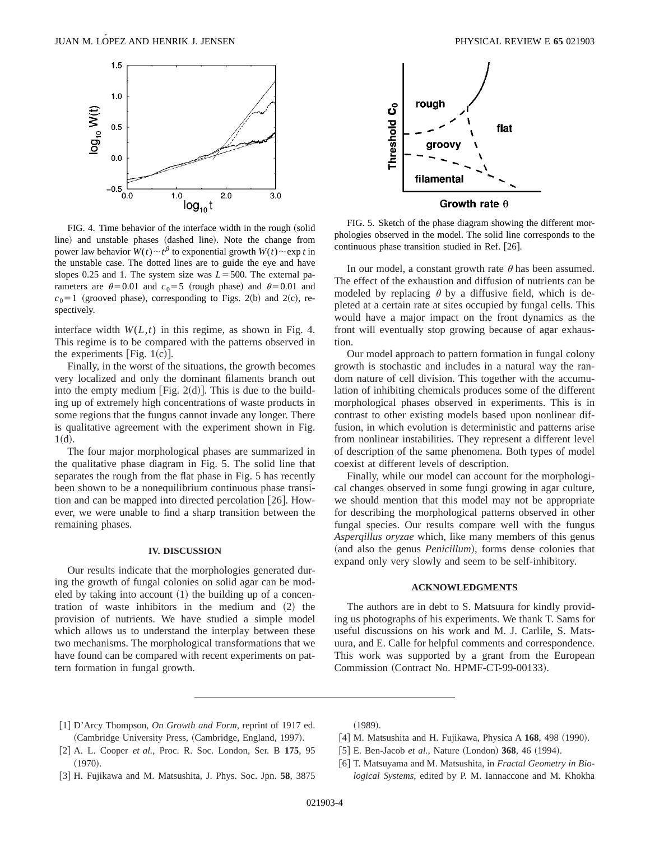

FIG. 4. Time behavior of the interface width in the rough (solid line) and unstable phases (dashed line). Note the change from power law behavior  $W(t) \sim t^{\beta}$  to exponential growth  $W(t) \sim \exp t$  in the unstable case. The dotted lines are to guide the eye and have slopes 0.25 and 1. The system size was  $L = 500$ . The external parameters are  $\theta$ =0.01 and  $c_0$ =5 (rough phase) and  $\theta$ =0.01 and  $c_0=1$  (grooved phase), corresponding to Figs. 2(b) and 2(c), respectively.

interface width  $W(L,t)$  in this regime, as shown in Fig. 4. This regime is to be compared with the patterns observed in the experiments [Fig.  $1(c)$ ].

Finally, in the worst of the situations, the growth becomes very localized and only the dominant filaments branch out into the empty medium [Fig. 2 $(d)$ ]. This is due to the building up of extremely high concentrations of waste products in some regions that the fungus cannot invade any longer. There is qualitative agreement with the experiment shown in Fig.  $1(d).$ 

The four major morphological phases are summarized in the qualitative phase diagram in Fig. 5. The solid line that separates the rough from the flat phase in Fig. 5 has recently been shown to be a nonequilibrium continuous phase transition and can be mapped into directed percolation  $[26]$ . However, we were unable to find a sharp transition between the remaining phases.

#### **IV. DISCUSSION**

Our results indicate that the morphologies generated during the growth of fungal colonies on solid agar can be modeled by taking into account  $(1)$  the building up of a concentration of waste inhibitors in the medium and  $(2)$  the provision of nutrients. We have studied a simple model which allows us to understand the interplay between these two mechanisms. The morphological transformations that we have found can be compared with recent experiments on pattern formation in fungal growth.



FIG. 5. Sketch of the phase diagram showing the different morphologies observed in the model. The solid line corresponds to the continuous phase transition studied in Ref.  $[26]$ .

In our model, a constant growth rate  $\theta$  has been assumed. The effect of the exhaustion and diffusion of nutrients can be modeled by replacing  $\theta$  by a diffusive field, which is depleted at a certain rate at sites occupied by fungal cells. This would have a major impact on the front dynamics as the front will eventually stop growing because of agar exhaustion.

Our model approach to pattern formation in fungal colony growth is stochastic and includes in a natural way the random nature of cell division. This together with the accumulation of inhibiting chemicals produces some of the different morphological phases observed in experiments. This is in contrast to other existing models based upon nonlinear diffusion, in which evolution is deterministic and patterns arise from nonlinear instabilities. They represent a different level of description of the same phenomena. Both types of model coexist at different levels of description.

Finally, while our model can account for the morphological changes observed in some fungi growing in agar culture, we should mention that this model may not be appropriate for describing the morphological patterns observed in other fungal species. Our results compare well with the fungus *Asperqillus oryzae* which, like many members of this genus (and also the genus *Penicillum*), forms dense colonies that expand only very slowly and seem to be self-inhibitory.

## **ACKNOWLEDGMENTS**

The authors are in debt to S. Matsuura for kindly providing us photographs of his experiments. We thank T. Sams for useful discussions on his work and M. J. Carlile, S. Matsuura, and E. Calle for helpful comments and correspondence. This work was supported by a grant from the European Commission (Contract No. HPMF-CT-99-00133).

- [1] D'Arcy Thompson, *On Growth and Form*, reprint of 1917 ed. (Cambridge University Press, (Cambridge, England, 1997).
- @2# A. L. Cooper *et al.*, Proc. R. Soc. London, Ser. B **175**, 95  $(1970).$
- @3# H. Fujikawa and M. Matsushita, J. Phys. Soc. Jpn. **58**, 3875

 $(1989).$ 

- [4] M. Matsushita and H. Fujikawa, Physica A **168**, 498 (1990).
- [5] E. Ben-Jacob *et al.*, Nature (London) **368**, 46 (1994).
- @6# T. Matsuyama and M. Matsushita, in *Fractal Geometry in Biological Systems*, edited by P. M. Iannaccone and M. Khokha